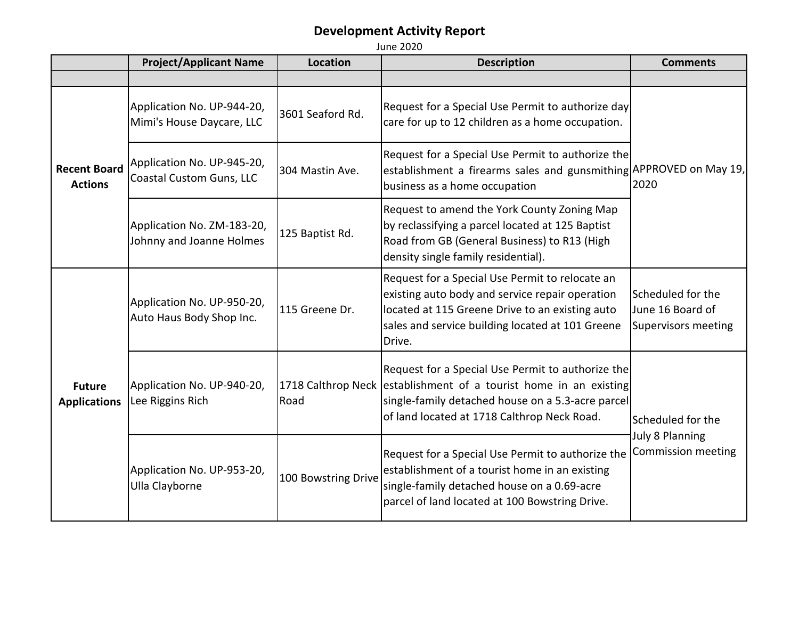|                                       | <b>Project/Applicant Name</b>                           | Location            | <b>Description</b>                                                                                                                                                                                                         | <b>Comments</b>                                                     |
|---------------------------------------|---------------------------------------------------------|---------------------|----------------------------------------------------------------------------------------------------------------------------------------------------------------------------------------------------------------------------|---------------------------------------------------------------------|
|                                       |                                                         |                     |                                                                                                                                                                                                                            |                                                                     |
| <b>Recent Board</b><br><b>Actions</b> | Application No. UP-944-20,<br>Mimi's House Daycare, LLC | 3601 Seaford Rd.    | Request for a Special Use Permit to authorize day<br>care for up to 12 children as a home occupation.                                                                                                                      | 2020                                                                |
|                                       | Application No. UP-945-20,<br>Coastal Custom Guns, LLC  | 304 Mastin Ave.     | Request for a Special Use Permit to authorize the<br>establishment a firearms sales and gunsmithing APPROVED on May 19,<br>business as a home occupation                                                                   |                                                                     |
|                                       | Application No. ZM-183-20,<br>Johnny and Joanne Holmes  | 125 Baptist Rd.     | Request to amend the York County Zoning Map<br>by reclassifying a parcel located at 125 Baptist<br>Road from GB (General Business) to R13 (High<br>density single family residential).                                     |                                                                     |
| <b>Future</b><br><b>Applications</b>  | Application No. UP-950-20,<br>Auto Haus Body Shop Inc.  | 115 Greene Dr.      | Request for a Special Use Permit to relocate an<br>existing auto body and service repair operation<br>located at 115 Greene Drive to an existing auto<br>sales and service building located at 101 Greene<br>Drive.        | Scheduled for the<br>June 16 Board of<br><b>Supervisors meeting</b> |
|                                       | Application No. UP-940-20,<br>Lee Riggins Rich          | Road                | Request for a Special Use Permit to authorize the<br>1718 Calthrop Neck establishment of a tourist home in an existing<br>single-family detached house on a 5.3-acre parcel<br>of land located at 1718 Calthrop Neck Road. | Scheduled for the<br><b>July 8 Planning</b><br>Commission meeting   |
|                                       | Application No. UP-953-20,<br>Ulla Clayborne            | 100 Bowstring Drive | Request for a Special Use Permit to authorize the<br>establishment of a tourist home in an existing<br>single-family detached house on a 0.69-acre<br>parcel of land located at 100 Bowstring Drive.                       |                                                                     |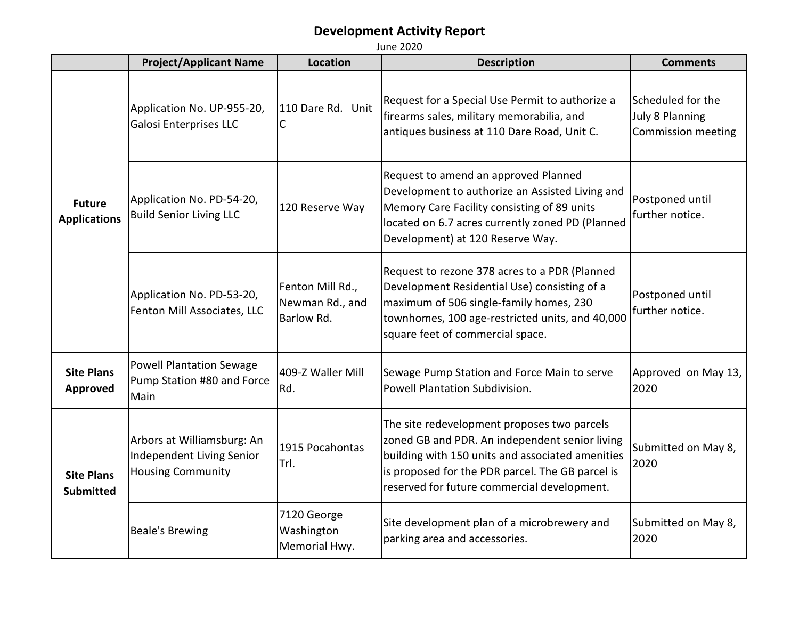|                                       | <b>Project/Applicant Name</b>                                                       | Location                                          | <b>Description</b>                                                                                                                                                                                                                                   | <b>Comments</b>                                            |
|---------------------------------------|-------------------------------------------------------------------------------------|---------------------------------------------------|------------------------------------------------------------------------------------------------------------------------------------------------------------------------------------------------------------------------------------------------------|------------------------------------------------------------|
| <b>Future</b><br><b>Applications</b>  | Application No. UP-955-20,<br><b>Galosi Enterprises LLC</b>                         | 110 Dare Rd. Unit<br>С                            | Request for a Special Use Permit to authorize a<br>firearms sales, military memorabilia, and<br>antiques business at 110 Dare Road, Unit C.                                                                                                          | Scheduled for the<br>July 8 Planning<br>Commission meeting |
|                                       | Application No. PD-54-20,<br><b>Build Senior Living LLC</b>                         | 120 Reserve Way                                   | Request to amend an approved Planned<br>Development to authorize an Assisted Living and<br>Memory Care Facility consisting of 89 units<br>located on 6.7 acres currently zoned PD (Planned<br>Development) at 120 Reserve Way.                       | Postponed until<br>further notice.                         |
|                                       | Application No. PD-53-20,<br>Fenton Mill Associates, LLC                            | Fenton Mill Rd.,<br>Newman Rd., and<br>Barlow Rd. | Request to rezone 378 acres to a PDR (Planned<br>Development Residential Use) consisting of a<br>maximum of 506 single-family homes, 230<br>townhomes, 100 age-restricted units, and 40,000<br>square feet of commercial space.                      | Postponed until<br>further notice.                         |
| <b>Site Plans</b><br><b>Approved</b>  | <b>Powell Plantation Sewage</b><br>Pump Station #80 and Force<br>Main               | 409-Z Waller Mill<br>Rd.                          | Sewage Pump Station and Force Main to serve<br>Powell Plantation Subdivision.                                                                                                                                                                        | Approved on May 13,<br>2020                                |
| <b>Site Plans</b><br><b>Submitted</b> | Arbors at Williamsburg: An<br>Independent Living Senior<br><b>Housing Community</b> | 1915 Pocahontas<br>Trl.                           | The site redevelopment proposes two parcels<br>zoned GB and PDR. An independent senior living<br>building with 150 units and associated amenities<br>is proposed for the PDR parcel. The GB parcel is<br>reserved for future commercial development. | Submitted on May 8,<br>2020                                |
|                                       | <b>Beale's Brewing</b>                                                              | 7120 George<br>Washington<br>Memorial Hwy.        | Site development plan of a microbrewery and<br>parking area and accessories.                                                                                                                                                                         | Submitted on May 8,<br>2020                                |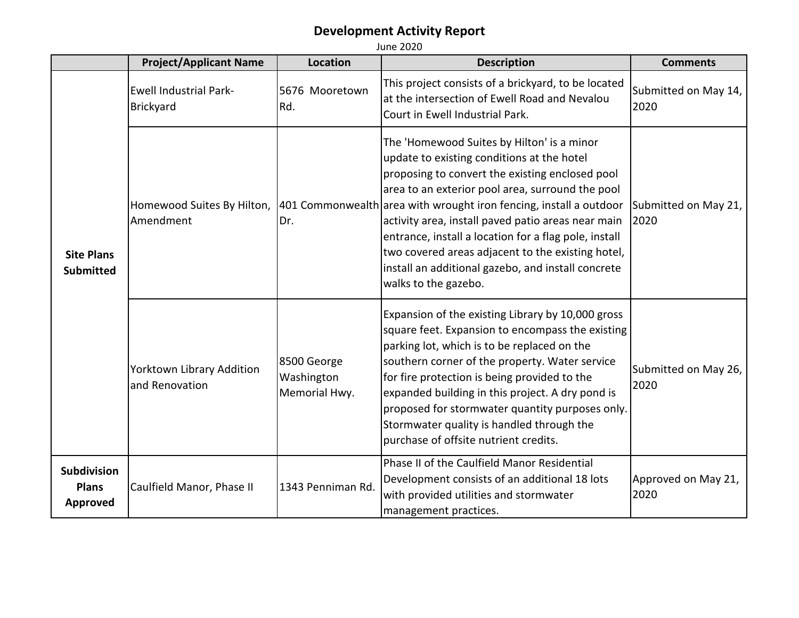|                                                | <b>Project/Applicant Name</b>               | Location                                   | <b>Description</b>                                                                                                                                                                                                                                                                                                                                                                                                                                                                                                      | <b>Comments</b>              |
|------------------------------------------------|---------------------------------------------|--------------------------------------------|-------------------------------------------------------------------------------------------------------------------------------------------------------------------------------------------------------------------------------------------------------------------------------------------------------------------------------------------------------------------------------------------------------------------------------------------------------------------------------------------------------------------------|------------------------------|
| <b>Site Plans</b><br><b>Submitted</b>          | <b>Ewell Industrial Park-</b><br>Brickyard  | 5676 Mooretown<br>Rd.                      | This project consists of a brickyard, to be located<br>at the intersection of Ewell Road and Nevalou<br>Court in Ewell Industrial Park.                                                                                                                                                                                                                                                                                                                                                                                 | Submitted on May 14,<br>2020 |
|                                                | Homewood Suites By Hilton,<br>Amendment     | Dr.                                        | The 'Homewood Suites by Hilton' is a minor<br>update to existing conditions at the hotel<br>proposing to convert the existing enclosed pool<br>area to an exterior pool area, surround the pool<br>401 Commonwealth area with wrought iron fencing, install a outdoor<br>activity area, install paved patio areas near main<br>entrance, install a location for a flag pole, install<br>two covered areas adjacent to the existing hotel,<br>install an additional gazebo, and install concrete<br>walks to the gazebo. | Submitted on May 21,<br>2020 |
|                                                | Yorktown Library Addition<br>and Renovation | 8500 George<br>Washington<br>Memorial Hwy. | Expansion of the existing Library by 10,000 gross<br>square feet. Expansion to encompass the existing<br>parking lot, which is to be replaced on the<br>southern corner of the property. Water service<br>for fire protection is being provided to the<br>expanded building in this project. A dry pond is<br>proposed for stormwater quantity purposes only.<br>Stormwater quality is handled through the<br>purchase of offsite nutrient credits.                                                                     | Submitted on May 26,<br>2020 |
| <b>Subdivision</b><br><b>Plans</b><br>Approved | Caulfield Manor, Phase II                   | 1343 Penniman Rd.                          | Phase II of the Caulfield Manor Residential<br>Development consists of an additional 18 lots<br>with provided utilities and stormwater<br>management practices.                                                                                                                                                                                                                                                                                                                                                         | Approved on May 21,<br>2020  |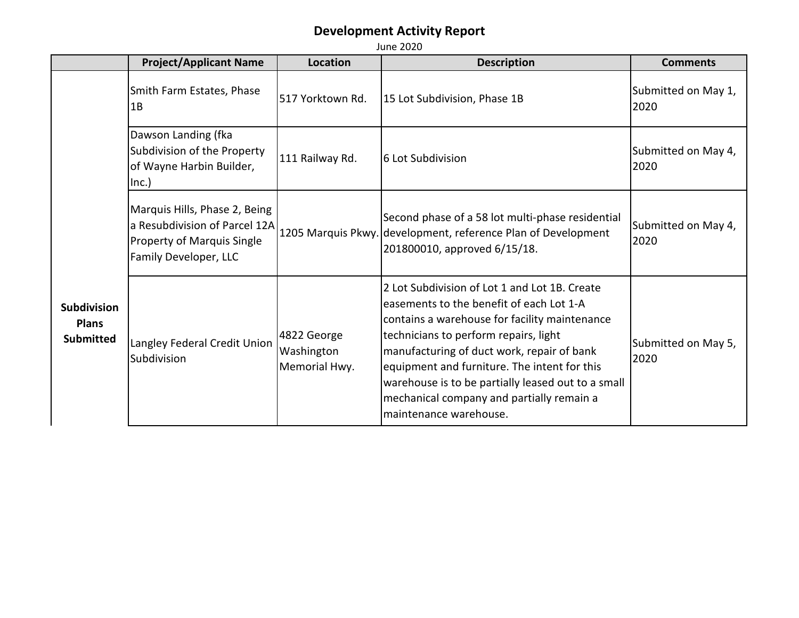**Project/Applicant Name Location Description Description Description Description** Smith Farm Estates, Phase  $1B$  $\begin{bmatrix} 517 \text{ Yorktown Rd.} \end{bmatrix}$  15 Lot Subdivision, Phase 1B  $\begin{bmatrix} 517 \text{ Yorktown}{\text{Submitted on May 1}} \end{bmatrix}$ 2020 Dawson Landing (fka Subdivision of the Property of Wayne Harbin Builder, Inc.) 111 Railway Rd.  $\begin{bmatrix} 6 & \text{Lot Submitted on May 4,} \\ 6 & \text{Lot Submitted on May 4,} \end{bmatrix}$ 2020 Marquis Hills, Phase 2, Being a Resubdivision of Parcel 12A Property of Marquis Single Family Developer, LLC 1205 Marquis Pkwy. development, reference Plan of Development Second phase of a 58 lot multi-phase residential 201800010, approved 6/15/18. Submitted on May 4, 2020 Langley Federal Credit Union Subdivision 4822 George Washington Memorial Hwy. 2 Lot Subdivision of Lot 1 and Lot 1B. Create easements to the benefit of each Lot 1-A contains a warehouse for facility maintenance technicians to perform repairs, light manufacturing of duct work, repair of bank equipment and furniture. The intent for this warehouse is to be partially leased out to a small mechanical company and partially remain a maintenance warehouse. Submitted on May 5, 2020 **Subdivision Plans Submitted**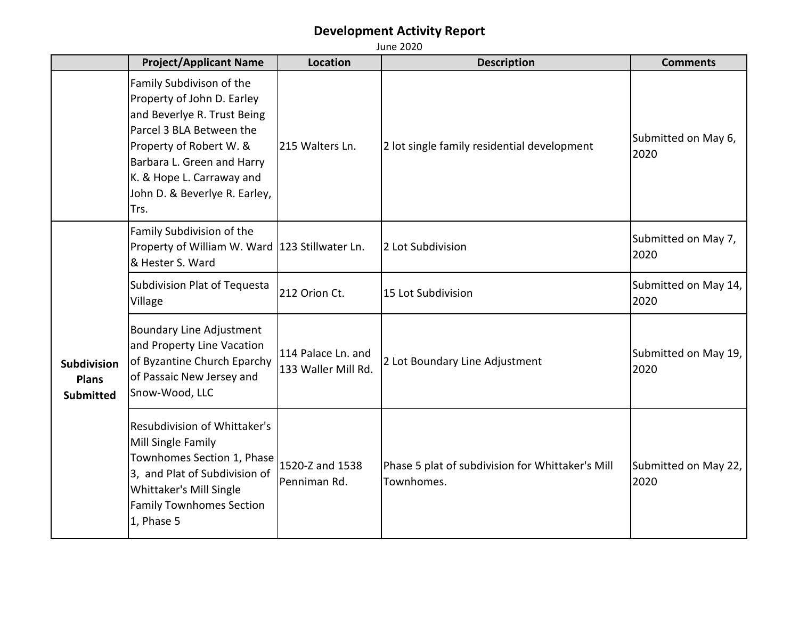|                                                        | <b>June 2020</b>                                                                                                                                                                                                                                 |                                           |                                                                |                              |
|--------------------------------------------------------|--------------------------------------------------------------------------------------------------------------------------------------------------------------------------------------------------------------------------------------------------|-------------------------------------------|----------------------------------------------------------------|------------------------------|
|                                                        | <b>Project/Applicant Name</b>                                                                                                                                                                                                                    | <b>Location</b>                           | <b>Description</b>                                             | <b>Comments</b>              |
|                                                        | Family Subdivison of the<br>Property of John D. Earley<br>and Beverlye R. Trust Being<br>Parcel 3 BLA Between the<br>Property of Robert W. &<br>Barbara L. Green and Harry<br>K. & Hope L. Carraway and<br>John D. & Beverlye R. Earley,<br>Trs. | 215 Walters Ln.                           | 2 lot single family residential development                    | Submitted on May 6,<br>2020  |
| <b>Subdivision</b><br><b>Plans</b><br><b>Submitted</b> | Family Subdivision of the<br>Property of William W. Ward 123 Stillwater Ln.<br>& Hester S. Ward                                                                                                                                                  |                                           | 2 Lot Subdivision                                              | Submitted on May 7,<br>2020  |
|                                                        | Subdivision Plat of Tequesta<br>Village                                                                                                                                                                                                          | 212 Orion Ct.                             | 15 Lot Subdivision                                             | Submitted on May 14,<br>2020 |
|                                                        | <b>Boundary Line Adjustment</b><br>and Property Line Vacation<br>of Byzantine Church Eparchy<br>of Passaic New Jersey and<br>Snow-Wood, LLC                                                                                                      | 114 Palace Ln. and<br>133 Waller Mill Rd. | 2 Lot Boundary Line Adjustment                                 | Submitted on May 19,<br>2020 |
|                                                        | Resubdivision of Whittaker's<br>Mill Single Family<br>Townhomes Section 1, Phase<br>3, and Plat of Subdivision of<br>Whittaker's Mill Single<br><b>Family Townhomes Section</b><br>1, Phase 5                                                    | 1520-Z and 1538<br>Penniman Rd.           | Phase 5 plat of subdivision for Whittaker's Mill<br>Townhomes. | Submitted on May 22,<br>2020 |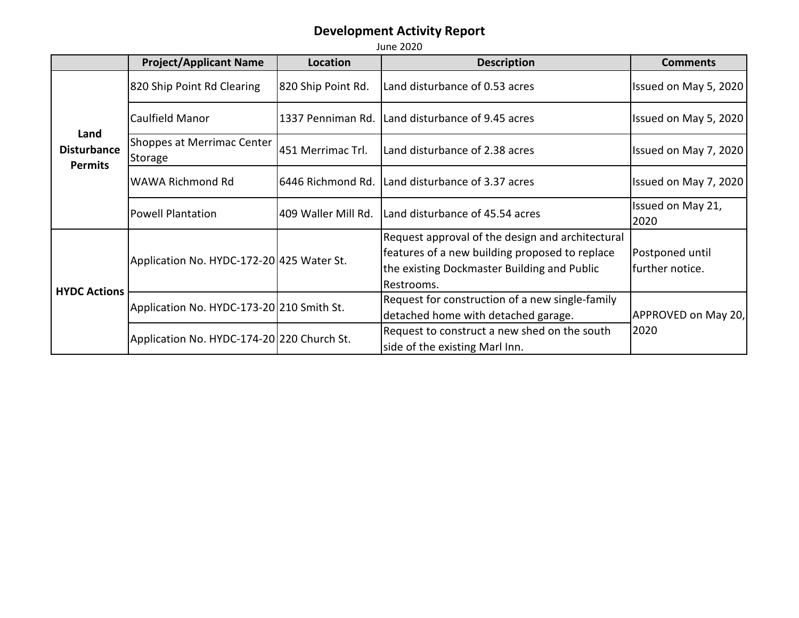|                                              | <b>Project/Applicant Name</b>              | Location            | <b>Description</b>                                                                                                                                              | <b>Comments</b>                    |
|----------------------------------------------|--------------------------------------------|---------------------|-----------------------------------------------------------------------------------------------------------------------------------------------------------------|------------------------------------|
| Land<br><b>Disturbance</b><br><b>Permits</b> | 820 Ship Point Rd Clearing                 | 820 Ship Point Rd.  | Land disturbance of 0.53 acres                                                                                                                                  | Issued on May 5, 2020              |
|                                              | Caulfield Manor                            | 1337 Penniman Rd.   | Land disturbance of 9.45 acres                                                                                                                                  | Issued on May 5, 2020              |
|                                              | Shoppes at Merrimac Center<br>Storage      | 451 Merrimac Trl.   | Land disturbance of 2.38 acres                                                                                                                                  | Issued on May 7, 2020              |
|                                              | WAWA Richmond Rd                           | 6446 Richmond Rd.   | Land disturbance of 3.37 acres                                                                                                                                  | Issued on May 7, 2020              |
|                                              | <b>Powell Plantation</b>                   | 409 Waller Mill Rd. | Land disturbance of 45.54 acres                                                                                                                                 | Issued on May 21,<br>2020          |
| <b>HYDC Actions</b>                          | Application No. HYDC-172-20 425 Water St.  |                     | Request approval of the design and architectural<br>features of a new building proposed to replace<br>the existing Dockmaster Building and Public<br>Restrooms. | Postponed until<br>further notice. |
|                                              | Application No. HYDC-173-20 210 Smith St.  |                     | Request for construction of a new single-family<br>detached home with detached garage.                                                                          | APPROVED on May 20,                |
|                                              | Application No. HYDC-174-20 220 Church St. |                     | Request to construct a new shed on the south<br>side of the existing Marl Inn.                                                                                  | 2020                               |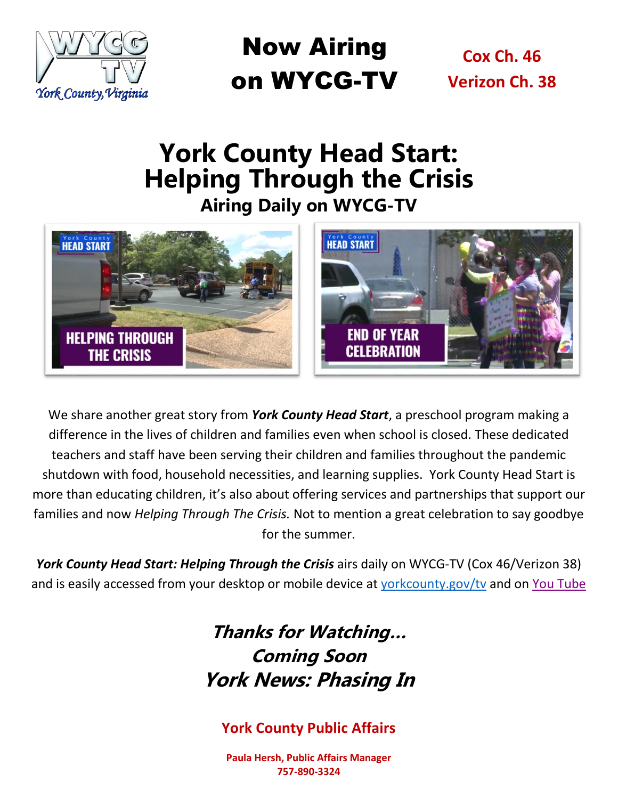

Now Airing on WYCG-TV

**Cox Ch. 46 Verizon Ch. 38**

# **York County Head Start: Helping Through the Crisis Airing Daily on WYCG-TV**



We share another great story from *York County Head Start*, a preschool program making a difference in the lives of children and families even when school is closed. These dedicated teachers and staff have been serving their children and families throughout the pandemic shutdown with food, household necessities, and learning supplies. York County Head Start is more than educating children, it's also about offering services and partnerships that support our families and now *Helping Through The Crisis.* Not to mention a great celebration to say goodbye for the summer.

York County Head Start: Helping Through the Crisis airs daily on WYCG-TV (Cox 46/Verizon 38) and is easily accessed from your desktop or mobile device at [yorkcounty.gov/tv](http://www.yorkcounty.gov/tv) and on [You Tube](https://www.youtube.com/watch?v=B-JufR0an0c)

## **Thanks for Watching… Coming Soon York News: Phasing In**

### **York County Public Affairs**

**Paula Hersh, Public Affairs Manager 757-890-3324**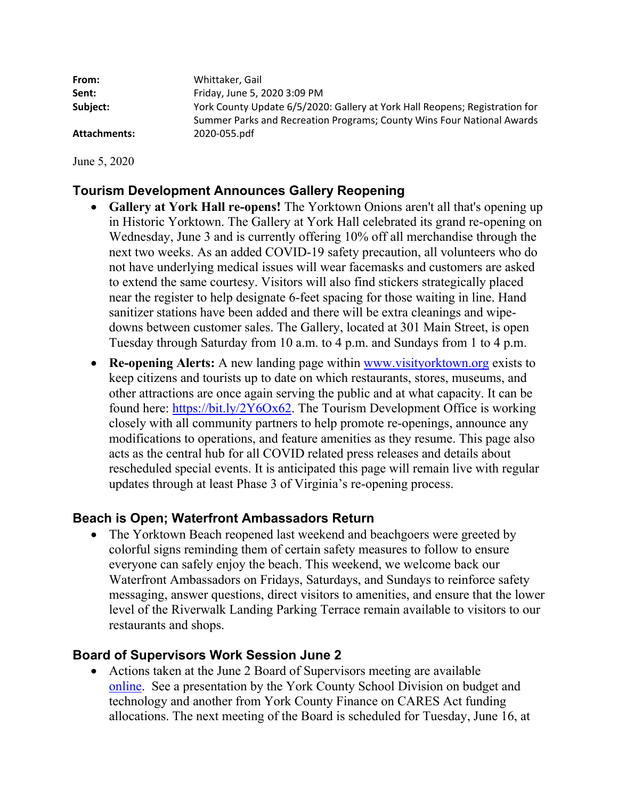| From:               | Whittaker, Gail                                                                                                                                       |
|---------------------|-------------------------------------------------------------------------------------------------------------------------------------------------------|
| Sent:               | Friday, June 5, 2020 3:09 PM                                                                                                                          |
| Subject:            | York County Update 6/5/2020: Gallery at York Hall Reopens; Registration for<br>Summer Parks and Recreation Programs; County Wins Four National Awards |
| <b>Attachments:</b> | 2020-055.pdf                                                                                                                                          |

June 5, 2020

### **Tourism Development Announces Gallery Reopening**

- **Gallery at York Hall re-opens!** The Yorktown Onions aren't all that's opening up in Historic Yorktown. The Gallery at York Hall celebrated its grand re-opening on Wednesday, June 3 and is currently offering 10% off all merchandise through the next two weeks. As an added COVID-19 safety precaution, all volunteers who do not have underlying medical issues will wear facemasks and customers are asked to extend the same courtesy. Visitors will also find stickers strategically placed near the register to help designate 6-feet spacing for those waiting in line. Hand sanitizer stations have been added and there will be extra cleanings and wipedowns between customer sales. The Gallery, located at 301 Main Street, is open Tuesday through Saturday from 10 a.m. to 4 p.m. and Sundays from 1 to 4 p.m.
- **Re-opening Alerts:** A new landing page within www.visityorktown.org exists to keep citizens and tourists up to date on which restaurants, stores, museums, and other attractions are once again serving the public and at what capacity. It can be found here: https://bit.ly/2Y6Ox62. The Tourism Development Office is working closely with all community partners to help promote re-openings, announce any modifications to operations, and feature amenities as they resume. This page also acts as the central hub for all COVID related press releases and details about rescheduled special events. It is anticipated this page will remain live with regular updates through at least Phase 3 of Virginia's re-opening process.

### **Beach is Open; Waterfront Ambassadors Return**

• The Yorktown Beach reopened last weekend and beachgoers were greeted by colorful signs reminding them of certain safety measures to follow to ensure everyone can safely enjoy the beach. This weekend, we welcome back our Waterfront Ambassadors on Fridays, Saturdays, and Sundays to reinforce safety messaging, answer questions, direct visitors to amenities, and ensure that the lower level of the Riverwalk Landing Parking Terrace remain available to visitors to our restaurants and shops.

### **Board of Supervisors Work Session June 2**

 Actions taken at the June 2 Board of Supervisors meeting are available online. See a presentation by the York County School Division on budget and technology and another from York County Finance on CARES Act funding allocations. The next meeting of the Board is scheduled for Tuesday, June 16, at